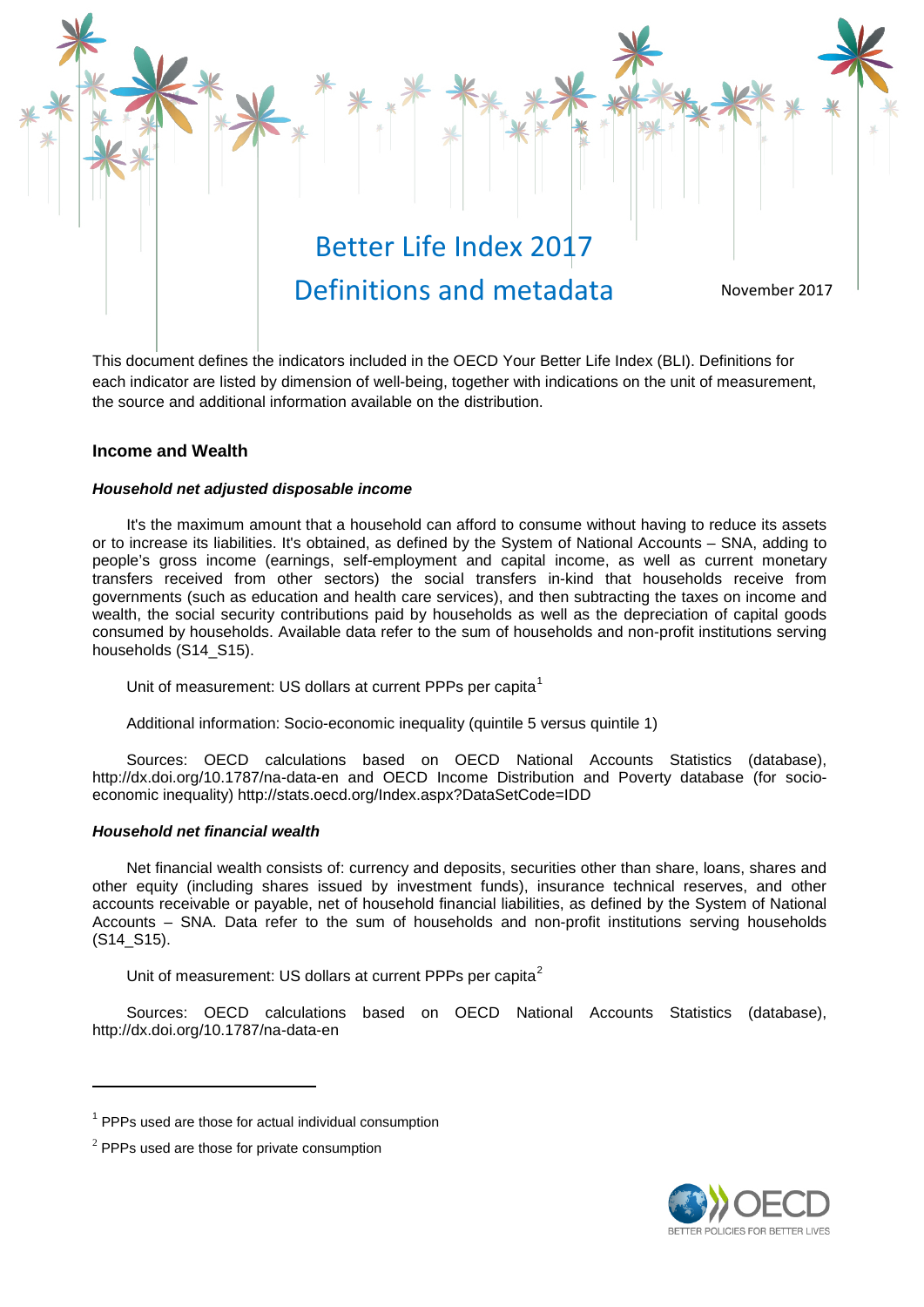

This document defines the indicators included in the OECD Your Better Life Index (BLI). Definitions for each indicator are listed by dimension of well-being, together with indications on the unit of measurement, the source and additional information available on the distribution.

## **Income and Wealth**

#### *Household net adjusted disposable income*

It's the maximum amount that a household can afford to consume without having to reduce its assets or to increase its liabilities. It's obtained, as defined by the System of National Accounts – SNA, adding to people's gross income (earnings, self-employment and capital income, as well as current monetary transfers received from other sectors) the social transfers in-kind that households receive from governments (such as education and health care services), and then subtracting the taxes on income and wealth, the social security contributions paid by households as well as the depreciation of capital goods consumed by households. Available data refer to the sum of households and non-profit institutions serving households (S14\_S15).

Unit of measurement: US dollars at current PPPs per capita<sup>[1](#page-0-0)</sup>

Additional information: Socio-economic inequality (quintile 5 versus quintile 1)

Sources: OECD calculations based on OECD National Accounts Statistics (database), http://dx.doi.org/10.1787/na-data-en and OECD Income Distribution and Poverty database (for socioeconomic inequality) http://stats.oecd.org/Index.aspx?DataSetCode=IDD

#### *Household net financial wealth*

Net financial wealth consists of: currency and deposits, securities other than share, loans, shares and other equity (including shares issued by investment funds), insurance technical reserves, and other accounts receivable or payable, net of household financial liabilities, as defined by the System of National Accounts – SNA. Data refer to the sum of households and non-profit institutions serving households (S14\_S15).

Unit of measurement: US dollars at current PPPs per capita $^2$  $^2$ 

Sources: OECD calculations based on OECD National Accounts Statistics (database), http://dx.doi.org/10.1787/na-data-en

 $\overline{a}$ 



<span id="page-0-0"></span> $1$  PPPs used are those for actual individual consumption

<span id="page-0-1"></span> $2$  PPPs used are those for private consumption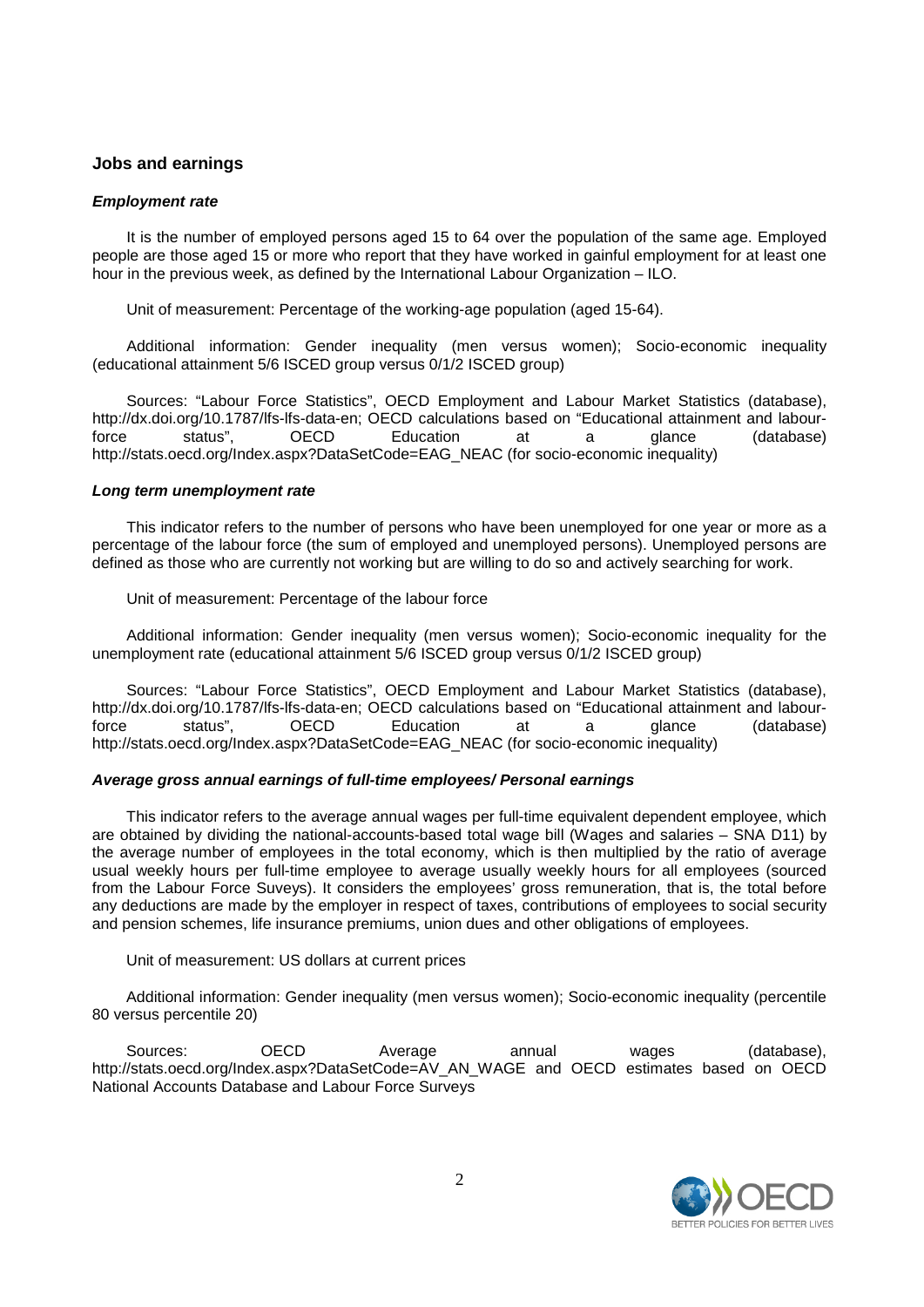## **Jobs and earnings**

### *Employment rate*

It is the number of employed persons aged 15 to 64 over the population of the same age. Employed people are those aged 15 or more who report that they have worked in gainful employment for at least one hour in the previous week, as defined by the International Labour Organization – ILO.

Unit of measurement: Percentage of the working-age population (aged 15-64).

Additional information: Gender inequality (men versus women); Socio-economic inequality (educational attainment 5/6 ISCED group versus 0/1/2 ISCED group)

Sources: "Labour Force Statistics", OECD Employment and Labour Market Statistics (database), http://dx.doi.org/10.1787/lfs-lfs-data-en; OECD calculations based on "Educational attainment and labourforce status", OECD Education at a glance (database) http://stats.oecd.org/Index.aspx?DataSetCode=EAG\_NEAC (for socio-economic inequality)

#### *Long term unemployment rate*

This indicator refers to the number of persons who have been unemployed for one year or more as a percentage of the labour force (the sum of employed and unemployed persons). Unemployed persons are defined as those who are currently not working but are willing to do so and actively searching for work.

Unit of measurement: Percentage of the labour force

Additional information: Gender inequality (men versus women); Socio-economic inequality for the unemployment rate (educational attainment 5/6 ISCED group versus 0/1/2 ISCED group)

Sources: "Labour Force Statistics", OECD Employment and Labour Market Statistics (database), http://dx.doi.org/10.1787/lfs-lfs-data-en; OECD calculations based on "Educational attainment and labour-<br>force status". CECD Education at a dance (database) force status", OECD Education at a glance (database) http://stats.oecd.org/Index.aspx?DataSetCode=EAG\_NEAC (for socio-economic inequality)

### *Average gross annual earnings of full-time employees/ Personal earnings*

This indicator refers to the average annual wages per full-time equivalent dependent employee, which are obtained by dividing the national-accounts-based total wage bill (Wages and salaries – SNA D11) by the average number of employees in the total economy, which is then multiplied by the ratio of average usual weekly hours per full-time employee to average usually weekly hours for all employees (sourced from the Labour Force Suveys). It considers the employees' gross remuneration, that is, the total before any deductions are made by the employer in respect of taxes, contributions of employees to social security and pension schemes, life insurance premiums, union dues and other obligations of employees.

Unit of measurement: US dollars at current prices

Additional information: Gender inequality (men versus women); Socio-economic inequality (percentile 80 versus percentile 20)

Sources: OECD Average annual wages (database), http://stats.oecd.org/Index.aspx?DataSetCode=AV\_AN\_WAGE and OECD estimates based on OECD National Accounts Database and Labour Force Surveys

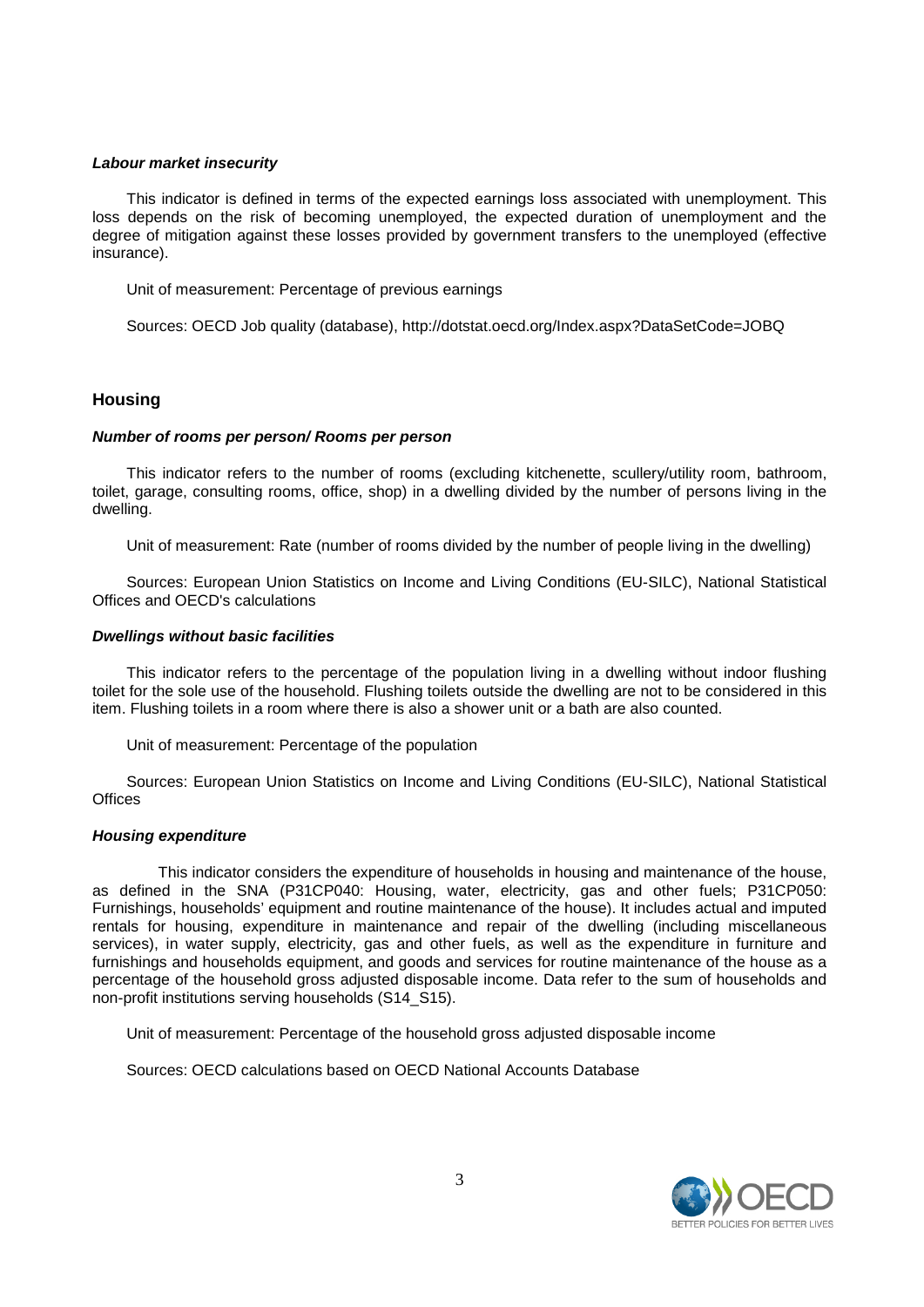#### *Labour market insecurity*

This indicator is defined in terms of the expected earnings loss associated with unemployment. This loss depends on the risk of becoming unemployed, the expected duration of unemployment and the degree of mitigation against these losses provided by government transfers to the unemployed (effective insurance).

Unit of measurement: Percentage of previous earnings

Sources: OECD Job quality (database), http://dotstat.oecd.org/Index.aspx?DataSetCode=JOBQ

## **Housing**

### *Number of rooms per person/ Rooms per person*

This indicator refers to the number of rooms (excluding kitchenette, scullery/utility room, bathroom, toilet, garage, consulting rooms, office, shop) in a dwelling divided by the number of persons living in the dwelling.

Unit of measurement: Rate (number of rooms divided by the number of people living in the dwelling)

Sources: European Union Statistics on Income and Living Conditions (EU-SILC), National Statistical Offices and OECD's calculations

#### *Dwellings without basic facilities*

This indicator refers to the percentage of the population living in a dwelling without indoor flushing toilet for the sole use of the household. Flushing toilets outside the dwelling are not to be considered in this item. Flushing toilets in a room where there is also a shower unit or a bath are also counted.

Unit of measurement: Percentage of the population

Sources: European Union Statistics on Income and Living Conditions (EU-SILC), National Statistical **Offices** 

### *Housing expenditure*

This indicator considers the expenditure of households in housing and maintenance of the house, as defined in the SNA (P31CP040: Housing, water, electricity, gas and other fuels; P31CP050: Furnishings, households' equipment and routine maintenance of the house). It includes actual and imputed rentals for housing, expenditure in maintenance and repair of the dwelling (including miscellaneous services), in water supply, electricity, gas and other fuels, as well as the expenditure in furniture and furnishings and households equipment, and goods and services for routine maintenance of the house as a percentage of the household gross adjusted disposable income. Data refer to the sum of households and non-profit institutions serving households (S14\_S15).

Unit of measurement: Percentage of the household gross adjusted disposable income

Sources: OECD calculations based on OECD National Accounts Database

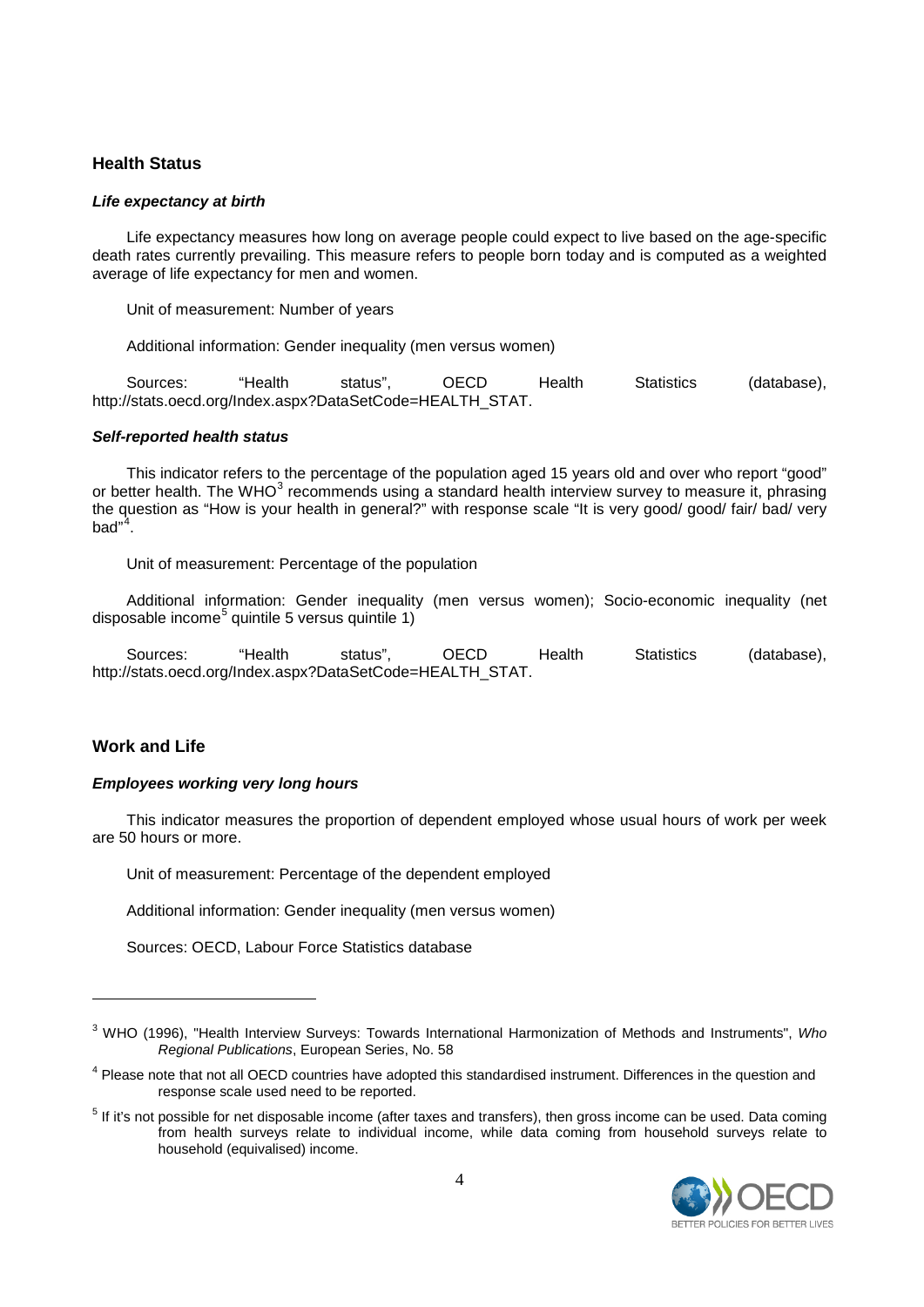## **Health Status**

### *Life expectancy at birth*

Life expectancy measures how long on average people could expect to live based on the age-specific death rates currently prevailing. This measure refers to people born today and is computed as a weighted average of life expectancy for men and women.

Unit of measurement: Number of years

Additional information: Gender inequality (men versus women)

Sources: "Health status", OECD Health Statistics (database), http://stats.oecd.org/Index.aspx?DataSetCode=HEALTH\_STAT.

#### *Self-reported health status*

This indicator refers to the percentage of the population aged 15 years old and over who report "good" or better health. The WHO $^3$  $^3$  recommends using a standard health interview survey to measure it, phrasing the question as "How is your health in general?" with response scale "It is very good/ good/ fair/ bad/ very bad"<sup>[4](#page-3-1)</sup>.

Unit of measurement: Percentage of the population

Additional information: Gender inequality (men versus women); Socio-economic inequality (net disposable income<sup>[5](#page-3-2)</sup> quintile 5 versus quintile 1)

Sources: "Health status", OECD Health Statistics (database), http://stats.oecd.org/Index.aspx?DataSetCode=HEALTH\_STAT.

## **Work and Life**

 $\overline{a}$ 

### *Employees working very long hours*

This indicator measures the proportion of dependent employed whose usual hours of work per week are 50 hours or more.

Unit of measurement: Percentage of the dependent employed

Additional information: Gender inequality (men versus women)

Sources: OECD, Labour Force Statistics database

<span id="page-3-2"></span> $5$  If it's not possible for net disposable income (after taxes and transfers), then gross income can be used. Data coming from health surveys relate to individual income, while data coming from household surveys relate to household (equivalised) income.



<span id="page-3-0"></span><sup>3</sup> WHO (1996), "Health Interview Surveys: Towards International Harmonization of Methods and Instruments", *Who Regional Publications*, European Series, No. 58

<span id="page-3-1"></span><sup>&</sup>lt;sup>4</sup> Please note that not all OECD countries have adopted this standardised instrument. Differences in the question and response scale used need to be reported.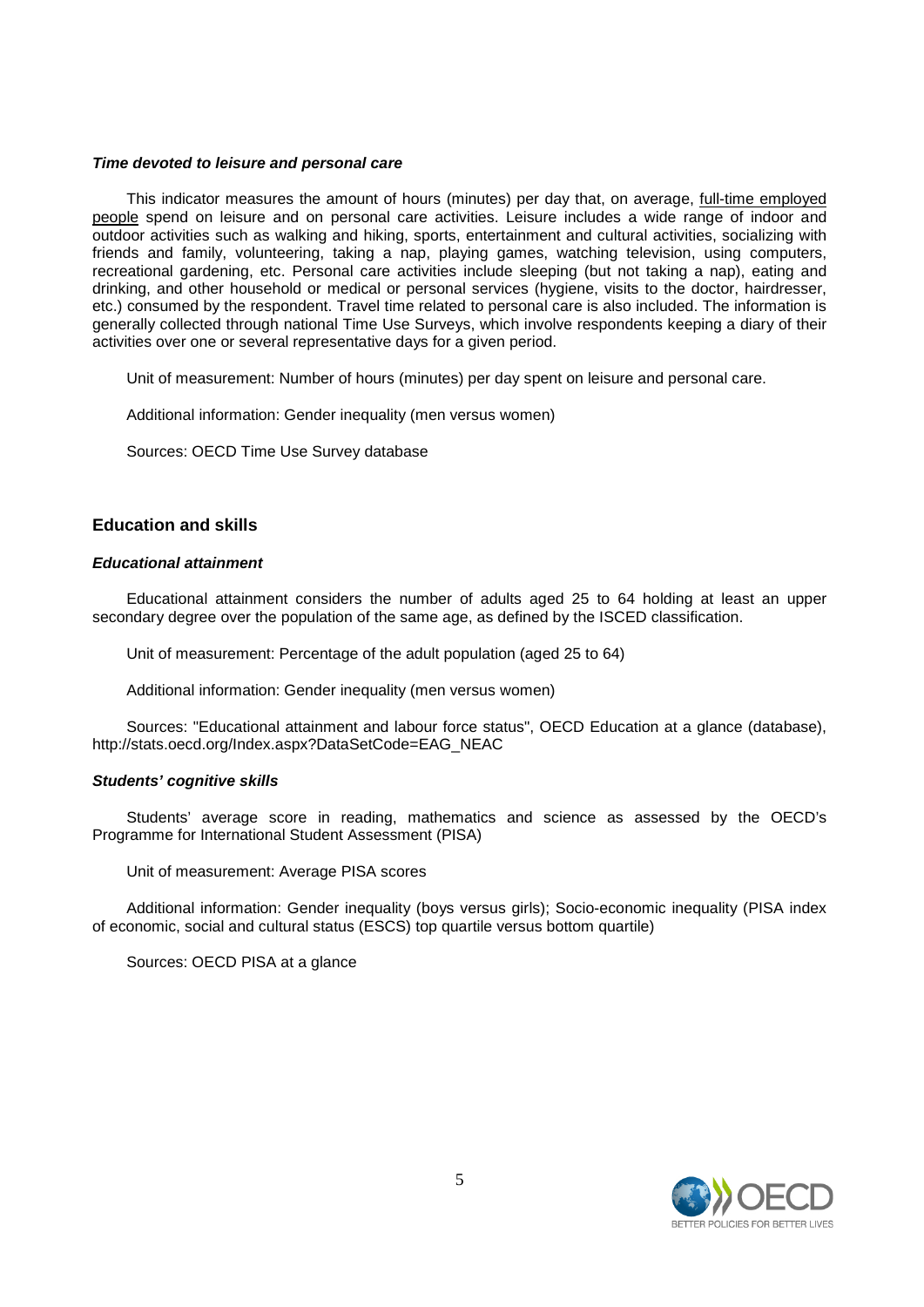### *Time devoted to leisure and personal care*

This indicator measures the amount of hours (minutes) per day that, on average, full-time employed people spend on leisure and on personal care activities. Leisure includes a wide range of indoor and outdoor activities such as walking and hiking, sports, entertainment and cultural activities, socializing with friends and family, volunteering, taking a nap, playing games, watching television, using computers, recreational gardening, etc. Personal care activities include sleeping (but not taking a nap), eating and drinking, and other household or medical or personal services (hygiene, visits to the doctor, hairdresser, etc.) consumed by the respondent. Travel time related to personal care is also included. The information is generally collected through national Time Use Surveys, which involve respondents keeping a diary of their activities over one or several representative days for a given period.

Unit of measurement: Number of hours (minutes) per day spent on leisure and personal care.

Additional information: Gender inequality (men versus women)

Sources: OECD Time Use Survey database

## **Education and skills**

### *Educational attainment*

Educational attainment considers the number of adults aged 25 to 64 holding at least an upper secondary degree over the population of the same age, as defined by the ISCED classification.

Unit of measurement: Percentage of the adult population (aged 25 to 64)

Additional information: Gender inequality (men versus women)

Sources: "Educational attainment and labour force status", OECD Education at a glance (database), http://stats.oecd.org/Index.aspx?DataSetCode=EAG\_NEAC

#### *Students' cognitive skills*

Students' average score in reading, mathematics and science as assessed by the OECD's Programme for International Student Assessment (PISA)

Unit of measurement: Average PISA scores

Additional information: Gender inequality (boys versus girls); Socio-economic inequality (PISA index of economic, social and cultural status (ESCS) top quartile versus bottom quartile)

Sources: OECD PISA at a glance

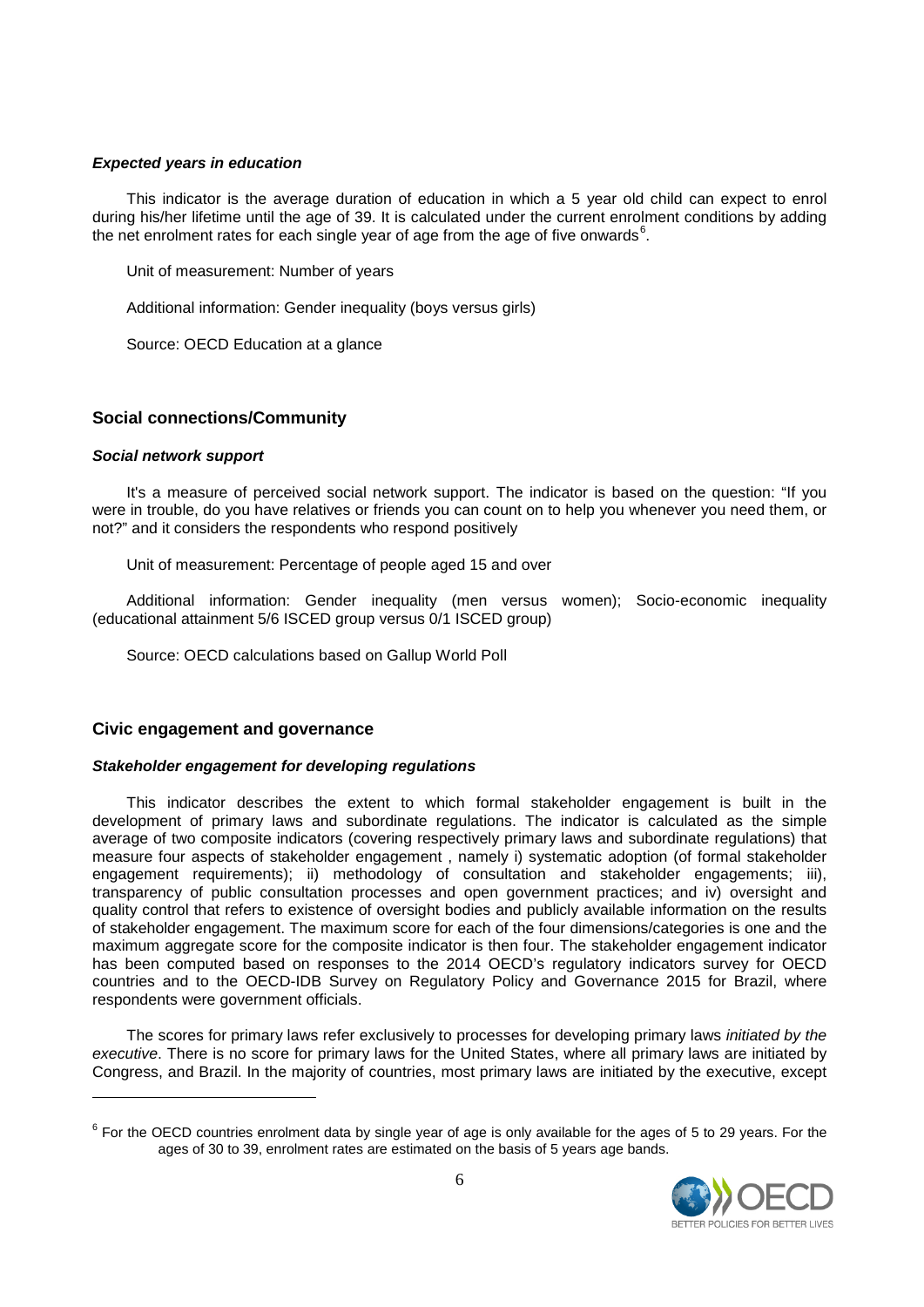### *Expected years in education*

This indicator is the average duration of education in which a 5 year old child can expect to enrol during his/her lifetime until the age of 39. It is calculated under the current enrolment conditions by adding the net enrolment rates for each single year of age from the age of five onwards $6$ .

Unit of measurement: Number of years

Additional information: Gender inequality (boys versus girls)

Source: OECD Education at a glance

### **Social connections/Community**

#### *Social network support*

It's a measure of perceived social network support. The indicator is based on the question: "If you were in trouble, do you have relatives or friends you can count on to help you whenever you need them, or not?" and it considers the respondents who respond positively

Unit of measurement: Percentage of people aged 15 and over

Additional information: Gender inequality (men versus women); Socio-economic inequality (educational attainment 5/6 ISCED group versus 0/1 ISCED group)

Source: OECD calculations based on Gallup World Poll

## **Civic engagement and governance**

 $\overline{a}$ 

### *Stakeholder engagement for developing regulations*

This indicator describes the extent to which formal stakeholder engagement is built in the development of primary laws and subordinate regulations. The indicator is calculated as the simple average of two composite indicators (covering respectively primary laws and subordinate regulations) that measure four aspects of stakeholder engagement , namely i) systematic adoption (of formal stakeholder engagement requirements); ii) methodology of consultation and stakeholder engagements; iii), transparency of public consultation processes and open government practices; and iv) oversight and quality control that refers to existence of oversight bodies and publicly available information on the results of stakeholder engagement. The maximum score for each of the four dimensions/categories is one and the maximum aggregate score for the composite indicator is then four. The stakeholder engagement indicator has been computed based on responses to the 2014 OECD's regulatory indicators survey for OECD countries and to the OECD-IDB Survey on Regulatory Policy and Governance 2015 for Brazil, where respondents were government officials.

The scores for primary laws refer exclusively to processes for developing primary laws *initiated by the executive*. There is no score for primary laws for the United States, where all primary laws are initiated by Congress, and Brazil. In the majority of countries, most primary laws are initiated by the executive, except

<span id="page-5-0"></span> $6$  For the OECD countries enrolment data by single year of age is only available for the ages of 5 to 29 years. For the ages of 30 to 39, enrolment rates are estimated on the basis of 5 years age bands.

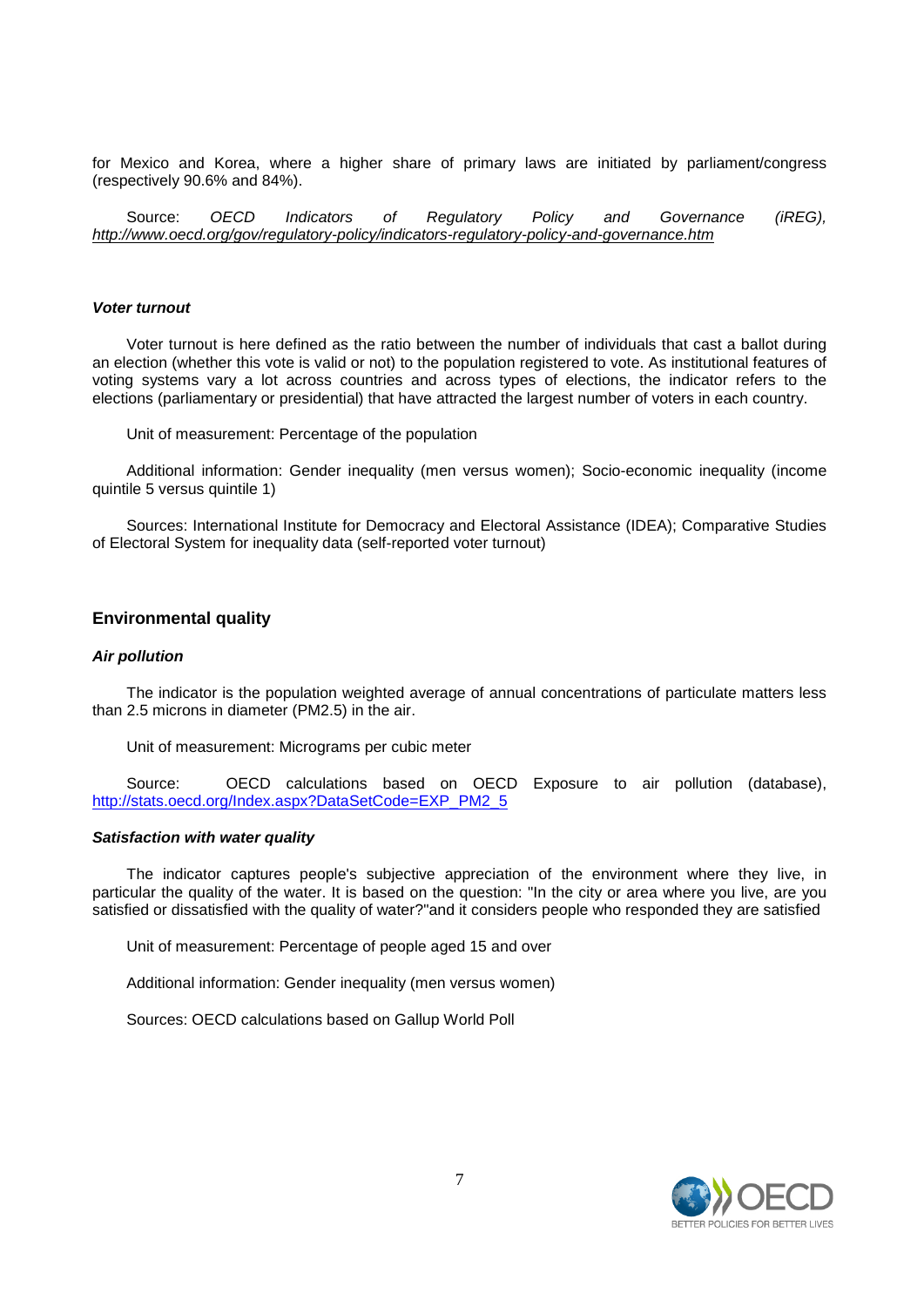for Mexico and Korea, where a higher share of primary laws are initiated by parliament/congress (respectively 90.6% and 84%).

Source: *OECD Indicators of Regulatory Policy and Governance (iREG), http://www.oecd.org/gov/regulatory-policy/indicators-regulatory-policy-and-governance.htm*

#### *Voter turnout*

Voter turnout is here defined as the ratio between the number of individuals that cast a ballot during an election (whether this vote is valid or not) to the population registered to vote. As institutional features of voting systems vary a lot across countries and across types of elections, the indicator refers to the elections (parliamentary or presidential) that have attracted the largest number of voters in each country.

Unit of measurement: Percentage of the population

Additional information: Gender inequality (men versus women); Socio-economic inequality (income quintile 5 versus quintile 1)

Sources: International Institute for Democracy and Electoral Assistance (IDEA); Comparative Studies of Electoral System for inequality data (self-reported voter turnout)

### **Environmental quality**

#### *Air pollution*

The indicator is the population weighted average of annual concentrations of particulate matters less than 2.5 microns in diameter (PM2.5) in the air.

Unit of measurement: Micrograms per cubic meter

Source: OECD calculations based on OECD Exposure to air pollution (database), [http://stats.oecd.org/Index.aspx?DataSetCode=EXP\\_PM2\\_5](http://stats.oecd.org/Index.aspx?DataSetCode=EXP_PM2_5)

#### *Satisfaction with water quality*

The indicator captures people's subjective appreciation of the environment where they live, in particular the quality of the water. It is based on the question: "In the city or area where you live, are you satisfied or dissatisfied with the quality of water?"and it considers people who responded they are satisfied

Unit of measurement: Percentage of people aged 15 and over

Additional information: Gender inequality (men versus women)

Sources: OECD calculations based on Gallup World Poll